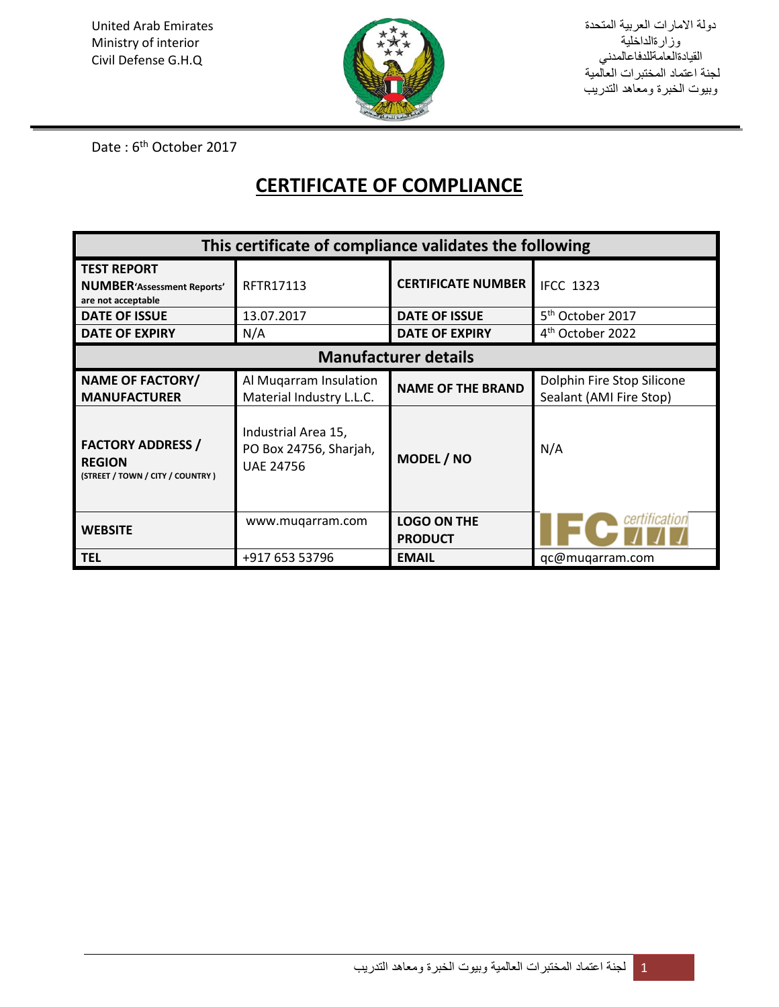

دولة االمارات العربية المتحدة وزارةالداخلية القيادةالعامةللدفاعالمدني لجنة اعتماد المختبرات العالمية وبيوت الخبرة ومعاهد التدريب

Date: 6<sup>th</sup> October 2017

## **CERTIFICATE OF COMPLIANCE**

| This certificate of compliance validates the following                         |                                                                   |                                      |                                                       |
|--------------------------------------------------------------------------------|-------------------------------------------------------------------|--------------------------------------|-------------------------------------------------------|
| <b>TEST REPORT</b><br><b>NUMBER'Assessment Reports'</b><br>are not acceptable  | RFTR17113                                                         | <b>CERTIFICATE NUMBER</b>            | <b>IFCC 1323</b>                                      |
| <b>DATE OF ISSUE</b>                                                           | 13.07.2017                                                        | <b>DATE OF ISSUE</b>                 | 5 <sup>th</sup> October 2017                          |
| <b>DATE OF EXPIRY</b>                                                          | N/A                                                               | <b>DATE OF EXPIRY</b>                | 4 <sup>th</sup> October 2022                          |
| <b>Manufacturer details</b>                                                    |                                                                   |                                      |                                                       |
| <b>NAME OF FACTORY/</b><br><b>MANUFACTURER</b>                                 | Al Mugarram Insulation<br>Material Industry L.L.C.                | <b>NAME OF THE BRAND</b>             | Dolphin Fire Stop Silicone<br>Sealant (AMI Fire Stop) |
| <b>FACTORY ADDRESS /</b><br><b>REGION</b><br>(STREET / TOWN / CITY / COUNTRY ) | Industrial Area 15,<br>PO Box 24756, Sharjah,<br><b>UAE 24756</b> | MODEL / NO                           | N/A                                                   |
| <b>WEBSITE</b>                                                                 | www.mugarram.com                                                  | <b>LOGO ON THE</b><br><b>PRODUCT</b> |                                                       |
| <b>TEL</b>                                                                     | +917 653 53796                                                    | <b>EMAIL</b>                         | qc@muqarram.com                                       |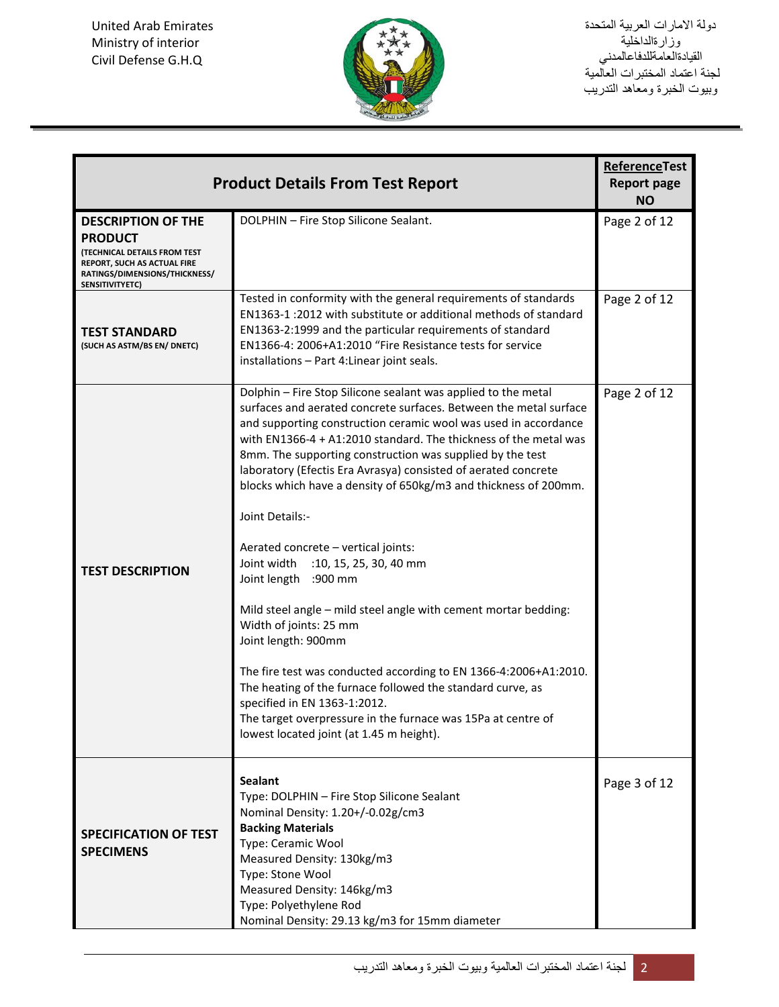

دولة االمارات العربية المتحدة وزارةالداخلية القيادةالعامةللدفاعالمدني لجنة اعتماد المختبرات العالمية وبيوت الخبرة ومعاهد التدريب

| <b>Product Details From Test Report</b>                                                                                                                               | <b>ReferenceTest</b><br><b>Report page</b><br><b>NO</b>                                                                                                                                                                                                                                                                                                                                                                                                                                                                                                                                                                                                                                                                                                                                                                                                                                                                                                                                                  |              |
|-----------------------------------------------------------------------------------------------------------------------------------------------------------------------|----------------------------------------------------------------------------------------------------------------------------------------------------------------------------------------------------------------------------------------------------------------------------------------------------------------------------------------------------------------------------------------------------------------------------------------------------------------------------------------------------------------------------------------------------------------------------------------------------------------------------------------------------------------------------------------------------------------------------------------------------------------------------------------------------------------------------------------------------------------------------------------------------------------------------------------------------------------------------------------------------------|--------------|
| <b>DESCRIPTION OF THE</b><br><b>PRODUCT</b><br><b>(TECHNICAL DETAILS FROM TEST</b><br>REPORT, SUCH AS ACTUAL FIRE<br>RATINGS/DIMENSIONS/THICKNESS/<br>SENSITIVITYETC) | DOLPHIN - Fire Stop Silicone Sealant.                                                                                                                                                                                                                                                                                                                                                                                                                                                                                                                                                                                                                                                                                                                                                                                                                                                                                                                                                                    | Page 2 of 12 |
| <b>TEST STANDARD</b><br>(SUCH AS ASTM/BS EN/ DNETC)                                                                                                                   | Tested in conformity with the general requirements of standards<br>EN1363-1 :2012 with substitute or additional methods of standard<br>EN1363-2:1999 and the particular requirements of standard<br>EN1366-4: 2006+A1:2010 "Fire Resistance tests for service<br>installations - Part 4: Linear joint seals.                                                                                                                                                                                                                                                                                                                                                                                                                                                                                                                                                                                                                                                                                             | Page 2 of 12 |
| <b>TEST DESCRIPTION</b>                                                                                                                                               | Dolphin - Fire Stop Silicone sealant was applied to the metal<br>surfaces and aerated concrete surfaces. Between the metal surface<br>and supporting construction ceramic wool was used in accordance<br>with EN1366-4 + A1:2010 standard. The thickness of the metal was<br>8mm. The supporting construction was supplied by the test<br>laboratory (Efectis Era Avrasya) consisted of aerated concrete<br>blocks which have a density of 650kg/m3 and thickness of 200mm.<br>Joint Details:-<br>Aerated concrete - vertical joints:<br>Joint width<br>:10, 15, 25, 30, 40 mm<br>Joint length :900 mm<br>Mild steel angle - mild steel angle with cement mortar bedding:<br>Width of joints: 25 mm<br>Joint length: 900mm<br>The fire test was conducted according to EN 1366-4:2006+A1:2010.<br>The heating of the furnace followed the standard curve, as<br>specified in EN 1363-1:2012.<br>The target overpressure in the furnace was 15Pa at centre of<br>lowest located joint (at 1.45 m height). | Page 2 of 12 |
| <b>SPECIFICATION OF TEST</b><br><b>SPECIMENS</b>                                                                                                                      | <b>Sealant</b><br>Type: DOLPHIN - Fire Stop Silicone Sealant<br>Nominal Density: 1.20+/-0.02g/cm3<br><b>Backing Materials</b><br>Type: Ceramic Wool<br>Measured Density: 130kg/m3<br>Type: Stone Wool<br>Measured Density: 146kg/m3<br>Type: Polyethylene Rod<br>Nominal Density: 29.13 kg/m3 for 15mm diameter                                                                                                                                                                                                                                                                                                                                                                                                                                                                                                                                                                                                                                                                                          | Page 3 of 12 |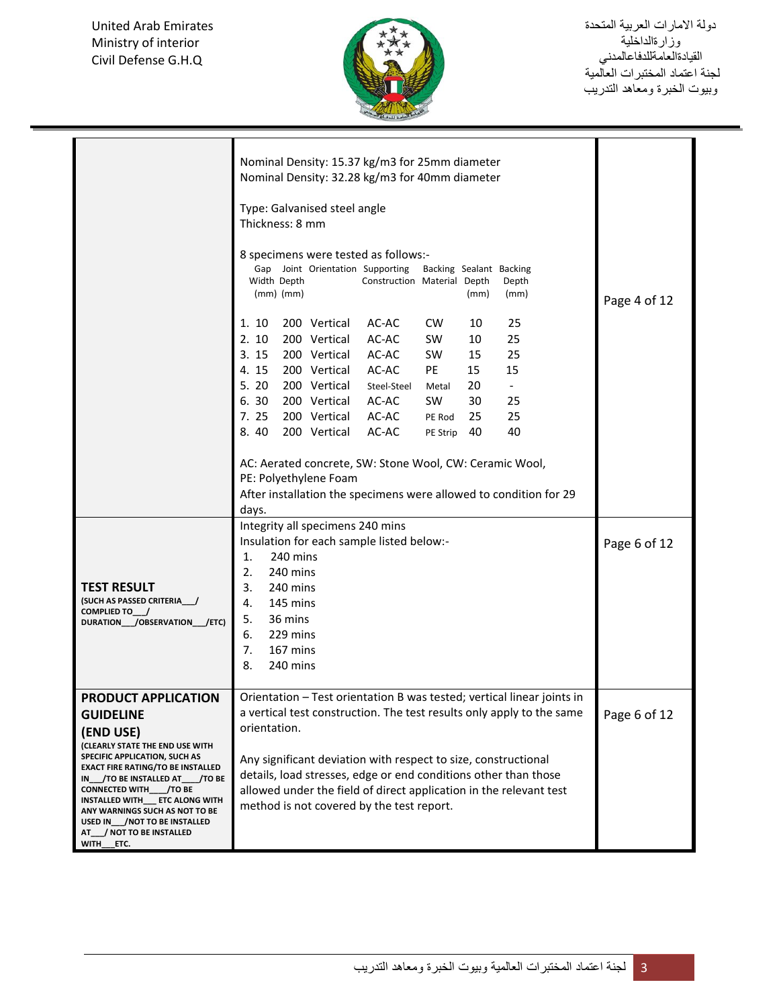United Arab Emirates Ministry of interior Civil Defense G.H.Q t]



|                                                                                                                                                                                                                                                                                                                                                                       | Nominal Density: 15.37 kg/m3 for 25mm diameter<br>Nominal Density: 32.28 kg/m3 for 40mm diameter<br>Type: Galvanised steel angle                                                                                                                                                                                                                                                                                                       |              |  |
|-----------------------------------------------------------------------------------------------------------------------------------------------------------------------------------------------------------------------------------------------------------------------------------------------------------------------------------------------------------------------|----------------------------------------------------------------------------------------------------------------------------------------------------------------------------------------------------------------------------------------------------------------------------------------------------------------------------------------------------------------------------------------------------------------------------------------|--------------|--|
|                                                                                                                                                                                                                                                                                                                                                                       | Thickness: 8 mm<br>8 specimens were tested as follows:-<br>Gap Joint Orientation Supporting<br>Backing Sealant Backing<br>Construction Material Depth<br>Width Depth<br>Depth<br>$(mm)$ $(mm)$<br>(mm)<br>(mm)                                                                                                                                                                                                                         |              |  |
|                                                                                                                                                                                                                                                                                                                                                                       | 1. 10<br>200 Vertical<br>AC-AC<br><b>CW</b><br>10<br>25<br>2.10<br>10<br>25<br>200 Vertical<br>AC-AC<br><b>SW</b><br>200 Vertical<br>25<br>3. 15<br>AC-AC<br><b>SW</b><br>15<br>15<br>200 Vertical<br><b>PE</b><br>15<br>15<br>AC-AC<br>4.<br>5. 20<br>200 Vertical<br>20<br>$\overline{\phantom{a}}$<br>Steel-Steel<br>Metal<br>6.30<br>200 Vertical<br>AC-AC<br>SW.<br>30<br>25<br>7. 25<br>200 Vertical AC-AC<br>25<br>25<br>PE Rod |              |  |
|                                                                                                                                                                                                                                                                                                                                                                       | 8.40<br>200 Vertical<br>40<br>AC-AC<br>40<br>PE Strip<br>AC: Aerated concrete, SW: Stone Wool, CW: Ceramic Wool,<br>PE: Polyethylene Foam<br>After installation the specimens were allowed to condition for 29<br>days.                                                                                                                                                                                                                |              |  |
| <b>TEST RESULT</b><br>(SUCH AS PASSED CRITERIA /<br>COMPLIED TO__/<br>DURATION___/OBSERVATION___/ETC)                                                                                                                                                                                                                                                                 | Integrity all specimens 240 mins<br>Insulation for each sample listed below:-<br>240 mins<br>1.<br>240 mins<br>2.<br>3.<br>240 mins<br>145 mins<br>4.<br>36 mins<br>5.<br>229 mins<br>6.<br>167 mins<br>7.<br>8.<br>240 mins                                                                                                                                                                                                           | Page 6 of 12 |  |
| PRODUCT APPLICATION<br><b>GUIDELINE</b><br>(END USE)<br>(CLEARLY STATE THE END USE WITH<br>SPECIFIC APPLICATION, SUCH AS<br><b>EXACT FIRE RATING/TO BE INSTALLED</b><br>IN___/TO BE INSTALLED AT____/TO BE<br>CONNECTED WITH /TO BE<br>INSTALLED WITH___ ETC ALONG WITH<br>ANY WARNINGS SUCH AS NOT TO BE<br>USED IN_/NOT TO BE INSTALLED<br>AT / NOT TO BE INSTALLED | Orientation - Test orientation B was tested; vertical linear joints in<br>a vertical test construction. The test results only apply to the same<br>orientation.<br>Any significant deviation with respect to size, constructional<br>details, load stresses, edge or end conditions other than those<br>allowed under the field of direct application in the relevant test<br>method is not covered by the test report.                | Page 6 of 12 |  |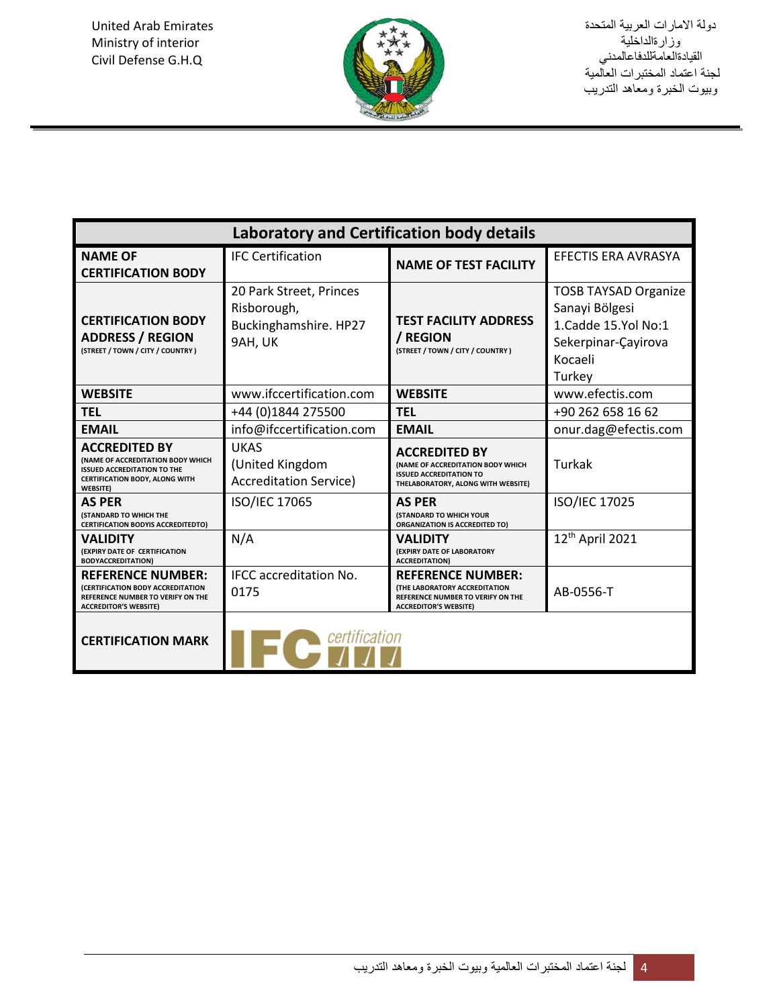

| <b>Laboratory and Certification body details</b>                                                                                                                   |                                                                            |                                                                                                                                       |                                                                                                                  |
|--------------------------------------------------------------------------------------------------------------------------------------------------------------------|----------------------------------------------------------------------------|---------------------------------------------------------------------------------------------------------------------------------------|------------------------------------------------------------------------------------------------------------------|
| <b>NAME OF</b><br><b>CERTIFICATION BODY</b>                                                                                                                        | <b>IFC Certification</b>                                                   | <b>NAME OF TEST FACILITY</b>                                                                                                          | <b>EFECTIS ERA AVRASYA</b>                                                                                       |
| <b>CERTIFICATION BODY</b><br><b>ADDRESS / REGION</b><br>(STREET / TOWN / CITY / COUNTRY)                                                                           | 20 Park Street, Princes<br>Risborough,<br>Buckinghamshire. HP27<br>9AH, UK | <b>TEST FACILITY ADDRESS</b><br>/ REGION<br>(STREET / TOWN / CITY / COUNTRY)                                                          | <b>TOSB TAYSAD Organize</b><br>Sanayi Bölgesi<br>1.Cadde 15.Yol No:1<br>Sekerpinar-Çayirova<br>Kocaeli<br>Turkey |
| <b>WEBSITE</b>                                                                                                                                                     | www.ifccertification.com                                                   | <b>WEBSITE</b>                                                                                                                        | www.efectis.com                                                                                                  |
| <b>TEL</b>                                                                                                                                                         | +44 (0)1844 275500                                                         | <b>TEL</b>                                                                                                                            | +90 262 658 16 62                                                                                                |
| <b>EMAIL</b>                                                                                                                                                       | info@ifccertification.com                                                  | <b>EMAIL</b>                                                                                                                          | onur.dag@efectis.com                                                                                             |
| <b>ACCREDITED BY</b><br><b>(NAME OF ACCREDITATION BODY WHICH</b><br><b>ISSUED ACCREDITATION TO THE</b><br><b>CERTIFICATION BODY, ALONG WITH</b><br><b>WEBSITE)</b> | <b>UKAS</b><br>(United Kingdom<br><b>Accreditation Service)</b>            | <b>ACCREDITED BY</b><br>(NAME OF ACCREDITATION BODY WHICH<br><b>ISSUED ACCREDITATION TO</b><br>THELABORATORY, ALONG WITH WEBSITE)     | Turkak                                                                                                           |
| <b>AS PER</b><br><b>(STANDARD TO WHICH THE</b><br><b>CERTIFICATION BODYIS ACCREDITEDTO)</b>                                                                        | ISO/IEC 17065                                                              | <b>AS PER</b><br><b>(STANDARD TO WHICH YOUR</b><br><b>ORGANIZATION IS ACCREDITED TO)</b>                                              | ISO/IEC 17025                                                                                                    |
| <b>VALIDITY</b><br>(EXPIRY DATE OF CERTIFICATION<br><b>BODYACCREDITATION)</b>                                                                                      | N/A                                                                        | <b>VALIDITY</b><br>(EXPIRY DATE OF LABORATORY<br><b>ACCREDITATION)</b>                                                                | 12 <sup>th</sup> April 2021                                                                                      |
| <b>REFERENCE NUMBER:</b><br>(CERTIFICATION BODY ACCREDITATION<br>REFERENCE NUMBER TO VERIFY ON THE<br><b>ACCREDITOR'S WEBSITE)</b>                                 | <b>IFCC</b> accreditation No.<br>0175                                      | <b>REFERENCE NUMBER:</b><br><b>(THE LABORATORY ACCREDITATION</b><br>REFERENCE NUMBER TO VERIFY ON THE<br><b>ACCREDITOR'S WEBSITE)</b> | AB-0556-T                                                                                                        |
| certification<br><b>CERTIFICATION MARK</b>                                                                                                                         |                                                                            |                                                                                                                                       |                                                                                                                  |